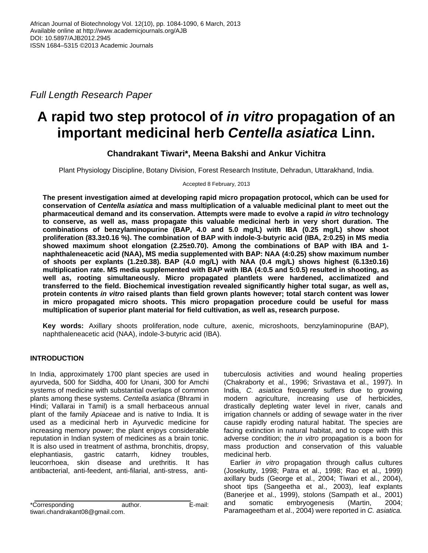*Full Length Research Paper*

# **A rapid two step protocol of** *in vitro* **propagation of an important medicinal herb** *Centella asiatica* **Linn.**

# **Chandrakant Tiwari\*, Meena Bakshi and Ankur Vichitra**

Plant Physiology Discipline, Botany Division, Forest Research Institute, Dehradun, Uttarakhand, India.

Accepted 8 February, 2013

**The present investigation aimed at developing rapid micro propagation protocol, which can be used for conservation of** *Centella asiatica* **and mass multiplication of a valuable medicinal plant to meet out the pharmaceutical demand and its conservation. Attempts were made to evolve a rapid** *in vitro* **technology to conserve, as well as, mass propagate this valuable medicinal herb in very short duration. The combinations of benzylaminopurine (BAP, 4.0 and 5.0 mg/L) with IBA (0.25 mg/L) show shoot proliferation (83.3±0.16 %). The combination of BAP with indole-3-butyric acid (IBA, 2:0.25) in MS media showed maximum shoot elongation (2.25±0.70). Among the combinations of BAP with IBA and 1 naphthaleneacetic acid (NAA), MS media supplemented with BAP: NAA (4:0.25) show maximum number of shoots per explants (1.2±0.38). BAP (4.0 mg/L) with NAA (0.4 mg/L) shows highest (6.13±0.16) multiplication rate. MS media supplemented with BAP with IBA (4:0.5 and 5:0.5) resulted in shooting, as well as, rooting simultaneously. Micro propagated plantlets were hardened, acclimatized and transferred to the field. Biochemical investigation revealed significantly higher total sugar, as well as, protein contents** *in vitro* **raised plants than field grown plants however; total starch content was lower in micro propagated micro shoots. This micro propagation procedure could be useful for mass multiplication of superior plant material for field cultivation, as well as, research purpose.**

**Key words:** Axillary shoots proliferation, node culture, axenic, microshoots, benzylaminopurine (BAP), naphthaleneacetic acid (NAA), indole-3-butyric acid (IBA).

# **INTRODUCTION**

In India, approximately 1700 plant species are used in ayurveda, 500 for Siddha, 400 for Unani, 300 for Amchi systems of medicine with substantial overlaps of common plants among these systems. *Centella asiatica* (Bhrami in Hindi; Vallarai in Tamil) is a small herbaceous annual plant of the family *Apiaceae* and is native to India. It is used as a medicinal herb in Ayurvedic medicine for increasing memory power; the plant enjoys considerable reputation in Indian system of medicines as a brain tonic. It is also used in treatment of asthma, bronchitis, dropsy, elephantiasis, gastric catarrh, kidney troubles, leucorrhoea, skin disease and urethritis. It has antibacterial, anti-feedent, anti-filarial, anti-stress, anti-

\*Corresponding author. E-mail: tiwari.chandrakant08@gmail.com.

tuberculosis activities and wound healing properties (Chakraborty et al., 1996; Srivastava et al., 1997). In India, *C. asiatica* frequently suffers due to growing modern agriculture, increasing use of herbicides, drastically depleting water level in river, canals and irrigation channels or adding of sewage water in the river cause rapidly eroding natural habitat. The species are facing extinction in natural habitat, and to cope with this adverse condition; the *in vitro* propagation is a boon for mass production and conservation of this valuable medicinal herb.

Earlier *in vitro* propagation through callus cultures (Josekutty, 1998; Patra et al., 1998; Rao et al., 1999) axillary buds (George et al., 2004; Tiwari et al., 2004), shoot tips (Sangeetha et al., 2003), leaf explants (Banerjee et al., 1999), stolons (Sampath et al., 2001) and somatic embryogenesis (Martin, 2004; Paramageetham et al., 2004) were reported in *C. asiatica.*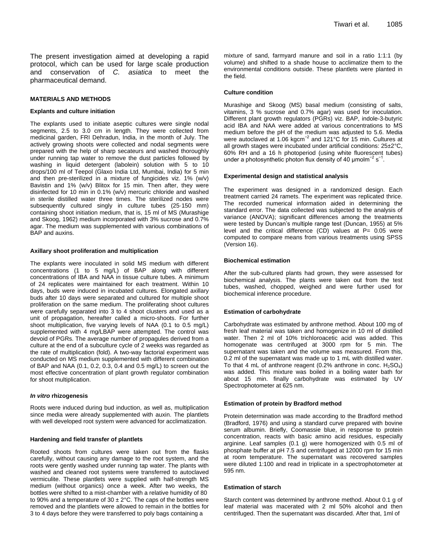The present investigation aimed at developing a rapid protocol, which can be used for large scale production and conservation of *C. asiatica* to meet the pharmaceutical demand.

#### **MATERIALS AND METHODS**

#### **Explants and culture initiation**

The explants used to initiate aseptic cultures were single nodal segments, 2.5 to 3.0 cm in length. They were collected from medicinal garden, FRI Dehradun, India, in the month of July. The actively growing shoots were collected and nodal segments were prepared with the help of sharp secateurs and washed thoroughly under running tap water to remove the dust particles followed by washing in liquid detergent (labolein) solution with 5 to 10 drops/100 ml of Teepol (Glaxo India Ltd, Mumbai, India) for 5 min and then pre-sterilized in a mixture of fungicides viz. 1% (w/v) Bavistin and 1% (w/v) Blitox for 15 min. Then after, they were disinfected for 10 min in 0.1% (w/v) mercuric chloride and washed in sterile distilled water three times. The sterilized nodes were subsequently cultured singly in culture tubes (25·150 mm) containing shoot initiation medium, that is, 15 ml of MS (Murashige and Skoog, 1962) medium incorporated with 3% sucrose and 0.7% agar. The medium was supplemented with various combinations of BAP and auxins.

#### **Axillary shoot proliferation and multiplication**

The explants were inoculated in solid MS medium with different concentrations (1 to 5 mg/L) of BAP along with different concentrations of IBA and NAA in tissue culture tubes. A minimum of 24 replicates were maintained for each treatment. Within 10 days, buds were induced in incubated cultures. Elongated axillary buds after 10 days were separated and cultured for multiple shoot proliferation on the same medium. The proliferating shoot cultures were carefully separated into 3 to 4 shoot clusters and used as a unit of propagation, hereafter called a micro-shoots. For further shoot multiplication, five varying levels of NAA (0.1 to 0.5 mg/L) supplemented with 4 mg/LBAP were attempted. The control was devoid of PGRs. The average number of propagules derived from a culture at the end of a subculture cycle of 2 weeks was regarded as the rate of multiplication (fold). A two-way factorial experiment was conducted on MS medium supplemented with different combination of BAP and NAA (0.1, 0.2, 0.3, 0.4 and 0.5 mg/L) to screen out the most effective concentration of plant growth regulator combination for shoot multiplication.

#### *In vitro* **rhizogenesis**

Roots were induced during bud induction, as well as, multiplication since media were already supplemented with auxin. The plantlets with well developed root system were advanced for acclimatization.

#### **Hardening and field transfer of plantlets**

Rooted shoots from cultures were taken out from the flasks carefully, without causing any damage to the root system, and the roots were gently washed under running tap water. The plants with washed and cleaned root systems were transferred to autoclaved vermiculite. These plantlets were supplied with half-strength MS medium (without organics) once a week. After two weeks, the bottles were shifted to a mist-chamber with a relative humidity of 80 to 90% and a temperature of 30  $\pm$  2°C. The caps of the bottles were removed and the plantlets were allowed to remain in the bottles for 3 to 4 days before they were transferred to poly bags containing a

mixture of sand, farmyard manure and soil in a ratio 1:1:1 (by volume) and shifted to a shade house to acclimatize them to the environmental conditions outside. These plantlets were planted in the field.

#### **Culture condition**

Murashige and Skoog (MS) basal medium (consisting of salts, vitamins, 3 % sucrose and 0.7% agar) was used for inoculation. Different plant growth regulators (PGRs) viz. BAP, indole-3-butyric acid IBA and NAA were added at various concentrations to MS medium before the pH of the medium was adjusted to 5.6. Media were autoclaved at 1.06 kgcm<sup>-2</sup> and 121°C for 15 min. Cultures at all growth stages were incubated under artificial conditions: 25±2°C, 60% RH and a 16 h photoperiod (using white fluorescent tubes) under a photosynthetic photon flux density of 40  $\mu$ molm<sup>-2</sup> s<sup>-1</sup>.

#### **Experimental design and statistical analysis**

The experiment was designed in a randomized design. Each treatment carried 24 ramets. The experiment was replicated thrice. The recorded numerical information aided in determining the standard error. The data collected was subjected to the analysis of variance (ANOVA); significant differences among the treatments were tested by Duncan's multiple range test (Duncan, 1955) at 5% level and the critical difference (CD) values at P= 0.05 were computed to compare means from various treatments using SPSS (Version 16).

#### **Biochemical estimation**

After the sub-cultured plants had grown, they were assessed for biochemical analysis. The plants were taken out from the test tubes, washed, chopped, weighed and were further used for biochemical inference procedure.

#### **Estimation of carbohydrate**

Carbohydrate was estimated by anthrone method. About 100 mg of fresh leaf material was taken and homogenize in 10 ml of distilled water. Then 2 ml of 10% trichloroacetic acid was added. This homogenate was centrifuged at 3000 rpm for 5 min. The supernatant was taken and the volume was measured. From this, 0.2 ml of the supernatant was made up to 1 mL with distilled water. To that 4 mL of anthrone reagent (0.2% anthrone in conc.  $H_2SO_4$ ) was added. This mixture was boiled in a boiling water bath for about 15 min. finally carbohydrate was estimated by UV Spectrophotometer at 625 nm.

#### **Estimation of protein by Bradford method**

Protein determination was made according to the Bradford method (Bradford, 1976) and using a standard curve prepared with bovine serum albumin. Briefly, Coomassie blue, in response to protein concentration, reacts with basic amino acid residues, especially arginine. Leaf samples (0.1 g) were homogenized with 0.5 ml of phosphate buffer at pH 7.5 and centrifuged at 12000 rpm for 15 min at room temperature. The supernatant was recovered samples were diluted 1:100 and read in triplicate in a spectrophotometer at 595 nm.

#### **Estimation of starch**

Starch content was determined by anthrone method. About 0.1 g of leaf material was macerated with 2 ml 50% alcohol and then centrifuged. Then the supernatant was discarded. After that, 1ml of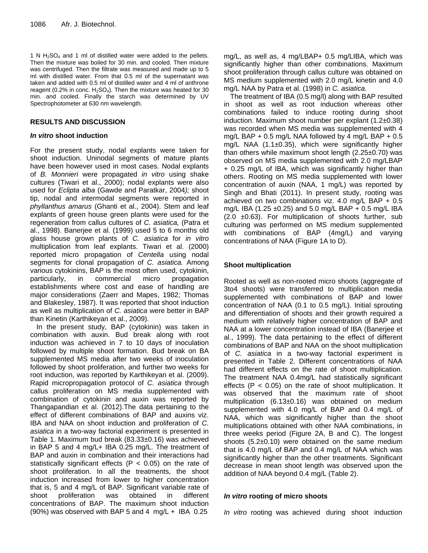1 N  $H_2SO_4$  and 1 ml of distilled water were added to the pellets. Then the mixture was boiled for 30 min. and cooled. Then mixture was centrifuged. Then the filtrate was measured and made up to 5 ml with distilled water. From that 0.5 ml of the supernatant was taken and added with 0.5 ml of distilled water and 4 ml of anthrone reagent (0.2% in conc.  $H_2SO_4$ ). Then the mixture was heated for 30 min. and cooled. Finally the starch was determined by UV Spectrophotometer at 630 nm wavelength.

# **RESULTS AND DISCUSSION**

# *In vitro* **shoot induction**

For the present study, nodal explants were taken for shoot induction. Uninodal segments of mature plants have been however used in most cases*.* Nodal explants of *B. Monnieri* were propagated *in vitro* using shake cultures (Tiwari et al., 2000); nodal explants were also used for *Eclipta alba* (Gawde and Paratkar, 2004*);* shoot tip, nodal and intermodal segments were reported in *phyllanthus amarus* (Ghanti et al., 2004). Stem and leaf explants of green house green plants were used for the regeneration from callus cultures of *C. asiatica,* (Patra et al., 1998). Banerjee et al. (1999) used 5 to 6 months old glass house grown plants of *C. asiatica* for *in vitro* multiplication from leaf explants. Tiwari et al. (2000) reported micro propagation of *Centella* using nodal segments for clonal propagation of *C. asiatica.* Among various cytokinins, BAP is the most often used, cytokinin, particularly, in commercial micro propagation establishments where cost and ease of handling are major considerations (Zaerr and Mapes, 1982; Thomas and Blakesley, 1987). It was reported that shoot induction as well as multiplication of *C. asiatica* were better in BAP than Kinetin (Karthikeyan et al., 2009)*.*

In the present study, BAP (cytokinin) was taken in combination with auxin. Bud break along with root induction was achieved in 7 to 10 days of inoculation followed by multiple shoot formation. Bud break on BA supplemented MS media after two weeks of inoculation followed by shoot proliferation, and further two weeks for root induction, was reported by Karthikeyan et al. (2009). Rapid micropropagation protocol of *C. asiatica* through callus proliferation on MS media supplemented with combination of cytokinin and auxin was reported by Thangapandian et al. (2012).The data pertaining to the effect of different combinations of BAP and auxins viz. IBA and NAA on shoot induction and proliferation of *C. asiatica* in a two-way factorial experiment is presented in Table 1. Maximum bud break (83.33±0.16) was achieved in BAP 5 and 4 mg/L+ IBA 0.25 mg/L. The treatment of BAP and auxin in combination and their interactions had statistically significant effects ( $P < 0.05$ ) on the rate of shoot proliferation. In all the treatments, the shoot induction increased from lower to higher concentration that is, 5 and 4 mg/L of BAP. Significant variable rate of shoot proliferation was obtained in different concentrations of BAP. The maximum shoot induction (90%) was observed with BAP 5 and 4 mg/L + IBA 0.25

mg/L, as well as, 4 mg/LBAP+ 0.5 mg/LIBA, which was significantly higher than other combinations. Maximum shoot proliferation through callus culture was obtained on MS medium supplemented with 2.0 mg/L kinetin and 4.0 mg/L NAA by Patra et al. (1998) in *C. asiatica.*

The treatment of IBA (0.5 mg/l) along with BAP resulted in shoot as well as root induction whereas other combinations failed to induce rooting during shoot induction. Maximum shoot number per explant  $(1.2\pm0.38)$ was recorded when MS media was supplemented with 4 mg/L BAP + 0.5 mg/L NAA followed by 4 mg/L BAP + 0.5 mg/L NAA (1.1±0.35), which were significantly higher than others while maximum shoot length  $(2.25\pm0.70)$  was observed on MS media supplemented with 2.0 mg/LBAP + 0.25 mg/L of IBA, which was significantly higher than others. Rooting on MS media supplemented with lower concentration of auxin (NAA, 1 mg/L) was reported by Singh and Bhati (2011). In present study, rooting was achieved on two combinations viz. 4.0 mg/L BAP + 0.5 mg/L IBA (1.25  $\pm$ 0.25) and 5.0 mg/L BAP + 0.5 mg/L IBA  $(2.0 \pm 0.63)$ . For multiplication of shoots further, sub culturing was performed on MS medium supplemented with combinations of BAP (4mg/L) and varying concentrations of NAA (Figure 1A to D).

# **Shoot multiplication**

Rooted as well as non-rooted micro shoots (aggregate of 3to4 shoots) were transferred to multiplication media supplemented with combinations of BAP and lower concentration of NAA (0.1 to 0.5 mg/L). Initial sprouting and differentiation of shoots and their growth required a medium with relatively higher concentration of BAP and NAA at a lower concentration instead of IBA (Banerjee et al., 1999). The data pertaining to the effect of different combinations of BAP and NAA on the shoot multiplication of *C. asiatica* in a two-way factorial experiment is presented in Table 2. Different concentrations of NAA had different effects on the rate of shoot multiplication. The treatment NAA 0.4mg/L had statistically significant effects ( $P < 0.05$ ) on the rate of shoot multiplication. It was observed that the maximum rate of shoot multiplication (6.13±0.16) was obtained on medium supplemented with 4.0 mg/L of BAP and 0.4 mg/L of NAA, which was significantly higher than the shoot multiplications obtained with other NAA combinations, in three weeks period (Figure 2A, B and C). The longest shoots  $(5.2\pm0.10)$  were obtained on the same medium that is 4.0 mg/L of BAP and 0.4 mg/L of NAA which was significantly higher than the other treatments. Significant decrease in mean shoot length was observed upon the addition of NAA beyond 0.4 mg/L (Table 2).

## *In vitro* **rooting of micro shoots**

*In vitro* rooting was achieved during shoot induction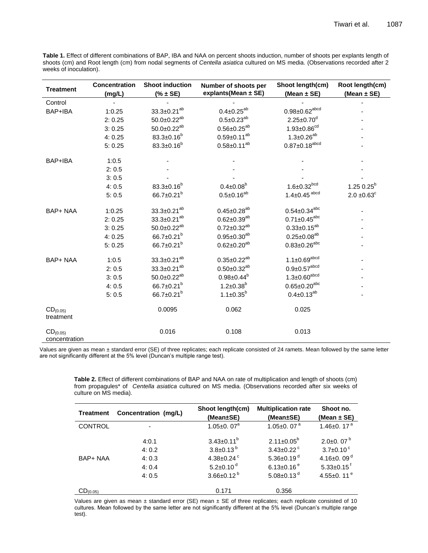**Table 1.** Effect of different combinations of BAP, IBA and NAA on percent shoots induction, number of shoots per explants length of shoots (cm) and Root length (cm) from nodal segments of *Centella asiatica* cultured on MS media. (Observations recorded after 2 weeks of inoculation).

| <b>Treatment</b>               | <b>Concentration</b> | <b>Shoot induction</b>       | Number of shoots per | Shoot length(cm)               | Root length(cm)  |
|--------------------------------|----------------------|------------------------------|----------------------|--------------------------------|------------------|
|                                | (mg/L)               | $(% )^{2}(3,1)$ $(% + S E)$  | explants(Mean ± SE)  | (Mean $\pm$ SE)                | (Mean $\pm$ SE)  |
| Control                        |                      |                              |                      |                                |                  |
| BAP+IBA                        | 1:0.25               | $33.3 \pm 0.21^{ab}$         | $0.4 \pm 0.25^{ab}$  | $0.98 \pm 0.62^{\text{abcd}}$  |                  |
|                                | 2:0.25               | $50.0 \pm 0.22^{ab}$         | $0.5 \pm 0.23^{ab}$  | $2.25 \pm 0.70$ <sup>d</sup>   |                  |
|                                | 3:0.25               | $50.0 \pm 0.22^{ab}$         | $0.56 \pm 0.25^{ab}$ | $1.93 \pm 0.86^{cd}$           |                  |
|                                | 4:0.25               | $83.3 \pm 0.16^b$            | $0.59 \pm 0.11^{ab}$ | $1.3 \pm 0.26^{ab}$            |                  |
|                                | 5:0.25               | $83.3 \pm 0.16^b$            | $0.58 \pm 0.11^{ab}$ | $0.87 \pm 0.18^{\text{abcd}}$  |                  |
| BAP+IBA                        | 1:0.5                |                              |                      |                                |                  |
|                                | 2:0.5                |                              |                      |                                |                  |
|                                | 3:0.5                |                              |                      |                                |                  |
|                                | 4:0.5                | $83.3 \pm 0.16^b$            | $0.4 \pm 0.08^b$     | $1.6 \pm 0.32^{bcd}$           | $1.25 0.25^b$    |
|                                | 5:0.5                | 66.7 $\pm$ 0.21 <sup>b</sup> | $0.5 \pm 0.16^{ab}$  | $1.4 \pm 0.45$ <sup>abcd</sup> | $2.0 \pm 0.63^c$ |
| BAP+ NAA                       | 1:0.25               | $33.3 \pm 0.21^{ab}$         | $0.45 \pm 0.28^{ab}$ | $0.54 \pm 0.34^{abc}$          |                  |
|                                | 2:0.25               | $33.3 \pm 0.21^{ab}$         | $0.62 \pm 0.39^{ab}$ | $0.71 \pm 0.45^{\rm abc}$      |                  |
|                                | 3:0.25               | $50.0 \pm 0.22^{ab}$         | $0.72 \pm 0.32^{ab}$ | $0.33 \pm 0.15^{ab}$           |                  |
|                                | 4:0.25               | 66.7±0.21 <sup>b</sup>       | $0.95 \pm 0.30^{ab}$ | $0.25 \pm 0.08^{ab}$           |                  |
|                                | 5:0.25               | 66.7 $\pm$ 0.21 $^{\rm b}$   | $0.62 \pm 0.20^{ab}$ | $0.83 \pm 0.26^{abc}$          |                  |
| <b>BAP+ NAA</b>                | 1:0.5                | $33.3 \pm 0.21^{ab}$         | $0.35 \pm 0.22^{ab}$ | $1.1 \pm 0.69$ <sup>abcd</sup> |                  |
|                                | 2:0.5                | $33.3 \pm 0.21^{ab}$         | $0.50 \pm 0.32^{ab}$ | $0.9 \pm 0.57^{\text{abcd}}$   |                  |
|                                | 3:0.5                | $50.0 \pm 0.22^{ab}$         | $0.98 \pm 0.44^b$    | $1.3 \pm 0.60^{\text{abcd}}$   |                  |
|                                | 4:0.5                | 66.7 $\pm$ 0.21 $^{\rm b}$   | $1.2 \pm 0.38^b$     | $0.65 \pm 0.20^{abc}$          |                  |
|                                | 5:0.5                | 66.7 $\pm$ 0.21 $^{\rm b}$   | $1.1 \pm 0.35^b$     | $0.4 \pm 0.13^{ab}$            |                  |
| $CD_{(0.05)}$<br>treatment     |                      | 0.0095                       | 0.062                | 0.025                          |                  |
| $CD_{(0.05)}$<br>concentration |                      | 0.016                        | 0.108                | 0.013                          |                  |

Values are given as mean ± standard error (SE) of three replicates; each replicate consisted of 24 ramets. Mean followed by the same letter are not significantly different at the 5% level (Duncan's multiple range test).

**Table 2.** Effect of different combinations of BAP and NAA on rate of multiplication and length of shoots (cm) from propagules\* of *Centella asiatica* cultured on MS media. (Observations recorded after six weeks of culture on MS media).

| <b>Treatment</b> | Concentration (mg/L) | Shoot length(cm)            | <b>Multiplication rate</b>   | Shoot no.                    |
|------------------|----------------------|-----------------------------|------------------------------|------------------------------|
|                  |                      | (Mean±SE)                   | (Mean±SE)                    | (Mean $\pm$ SE)              |
| <b>CONTROL</b>   |                      | 1.05 $\pm$ 0.07 $^{\circ}$  | 1.05 $\pm$ 0.07 $a$          | 1.46±0.17 $a$                |
|                  | 4:0.1                | $3.43 \pm 0.11^b$           | $2.11 \pm 0.05^b$            | $2.0\pm0.07^{b}$             |
|                  | 4:0.2                | $3.8 \pm 0.13^{b}$          | $3.43 \pm 0.22$ <sup>c</sup> | $3.7 \pm 0.10^{\circ}$       |
| BAP+ NAA         | 4:0.3                | 4.38±0.24 $^{\circ}$        | 5.36±0.19 $d$                | 4.16 $\pm$ 0.09 <sup>d</sup> |
|                  | 4:0.4                | $5.2 \pm 0.10$ <sup>d</sup> | $6.13 \pm 0.16^{\circ}$      | $5.33 \pm 0.15$ <sup>f</sup> |
|                  | 4:0.5                | $3.66 \pm 0.12^{b}$         | 5.08±0.13 $d$                | 4.55±0.11 $^e$               |
| $CD_{(0.05)}$    |                      | 0.171                       | 0.356                        |                              |

Values are given as mean  $\pm$  standard error (SE) mean  $\pm$  SE of three replicates; each replicate consisted of 10 cultures. Mean followed by the same letter are not significantly different at the 5% level (Duncan's multiple range test).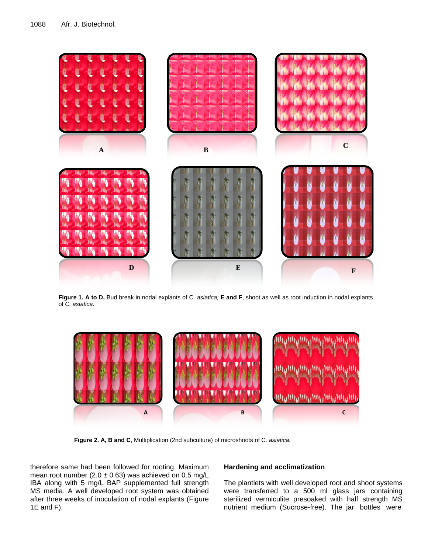

 **Figure 1. A to D,** Bud break in nodal explants of C*. asiatica;* **E and F**, shoot as well as root induction in nodal explants of *C. asiatica.*



**Figure 2. A, B and C**, Multiplication (2nd subculture) of microshoots of C*. asiatica.*

therefore same had been followed for rooting. Maximum mean root number (2.0  $\pm$  0.63) was achieved on 0.5 mg/L IBA along with 5 mg/L BAP supplemented full strength MS media. A well developed root system was obtained after three weeks of inoculation of nodal explants (Figure 1E and F).

## **Hardening and acclimatization**

The plantlets with well developed root and shoot systems were transferred to a 500 ml glass jars containing sterilized vermiculite presoaked with half strength MS nutrient medium (Sucrose-free). The jar bottles were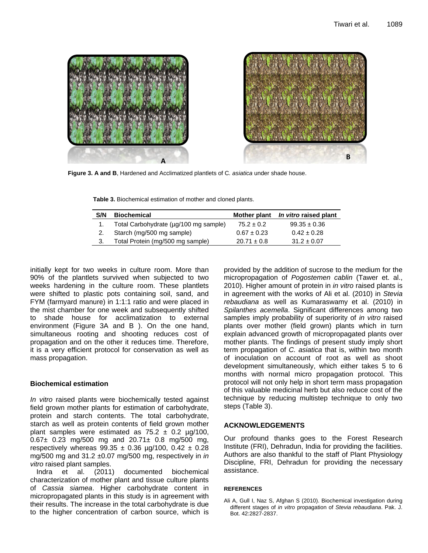



**Figure 3. A and B**, Hardened and Acclimatized plantlets of C*. asiatica* under shade house.

**Table 3.** Biochemical estimation of mother and cloned plants.

| S/N | <b>Biochemical</b>                    |                 | Mother plant In vitro raised plant |
|-----|---------------------------------------|-----------------|------------------------------------|
|     | Total Carbohydrate (µg/100 mg sample) | $75.2 \pm 0.2$  | $99.35 \pm 0.36$                   |
|     | Starch (mg/500 mg sample)             | $0.67 \pm 0.23$ | $0.42 \pm 0.28$                    |
| 3.  | Total Protein (mg/500 mg sample)      | $20.71 \pm 0.8$ | $31.2 \pm 0.07$                    |
|     |                                       |                 |                                    |

initially kept for two weeks in culture room. More than 90% of the plantlets survived when subjected to two weeks hardening in the culture room. These plantlets were shifted to plastic pots containing soil, sand, and FYM (farmyard manure) in 1:1:1 ratio and were placed in the mist chamber for one week and subsequently shifted to shade house for acclimatization to external environment (Figure 3A and B ). On the one hand, simultaneous rooting and shooting reduces cost of propagation and on the other it reduces time. Therefore, it is a very efficient protocol for conservation as well as mass propagation.

### **Biochemical estimation**

*In vitro* raised plants were biochemically tested against field grown mother plants for estimation of carbohydrate, protein and starch contents. The total carbohydrate, starch as well as protein contents of field grown mother plant samples were estimated as  $75.2 \pm 0.2$  µg/100,  $0.67\pm 0.23$  mg/500 mg and  $20.71\pm 0.8$  mg/500 mg, respectively whereas  $99.35 \pm 0.36$  µg/100, 0.42  $\pm$  0.28 mg/500 mg and 31.2 ±0.07 mg/500 mg, respectively in *in vitro* raised plant samples.

Indra et al. (2011) documented biochemical characterization of mother plant and tissue culture plants of *Cassia siamea*. Higher carbohydrate content in micropropagated plants in this study is in agreement with their results. The increase in the total carbohydrate is due to the higher concentration of carbon source, which is

provided by the addition of sucrose to the medium for the micropropagation of *Pogostemen cablin* (Tawer et. al., 2010). Higher amount of protein in *in vitro* raised plants is in agreement with the works of Ali et al. (2010) in *Stevia rebaudiana* as well as Kumaraswamy et al. (2010) in *Spilanthes acemella*. Significant differences among two samples imply probability of superiority of *in vitro* raised plants over mother (field grown) plants which in turn explain advanced growth of micropropagated plants over mother plants. The findings of present study imply short term propagation of *C. asiatica* that is, within two month of inoculation on account of root as well as shoot development simultaneously, which either takes 5 to 6 months with normal micro propagation protocol. This protocol will not only help in short term mass propagation of this valuable medicinal herb but also reduce cost of the technique by reducing multistep technique to only two steps (Table 3).

## **ACKNOWLEDGEMENTS**

Our profound thanks goes to the Forest Research Institute (FRI), Dehradun, India for providing the facilities. Authors are also thankful to the staff of Plant Physiology Discipline, FRI, Dehradun for providing the necessary assistance.

#### **REFERENCES**

Ali A, Gull I, Naz S, Afghan S (2010). Biochemical investigation during different stages of *in vitro* propagation of *Stevia rebaudiana*. Pak. J. Bot. 42:2827-2837.